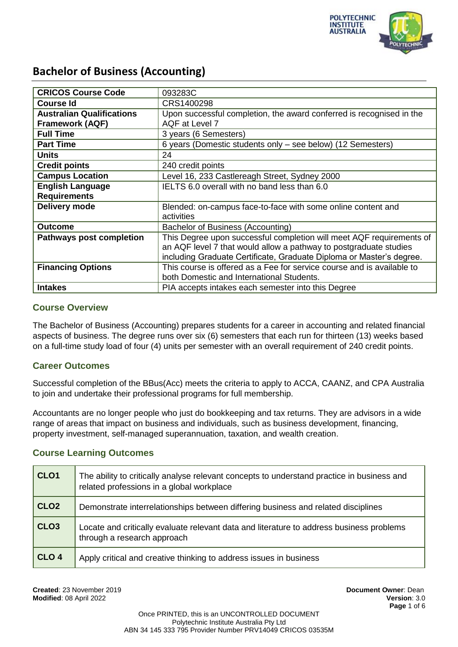

| <b>CRICOS Course Code</b>        | 093283C                                                                |
|----------------------------------|------------------------------------------------------------------------|
| <b>Course Id</b>                 | CRS1400298                                                             |
| <b>Australian Qualifications</b> | Upon successful completion, the award conferred is recognised in the   |
| <b>Framework (AQF)</b>           | AQF at Level 7                                                         |
| <b>Full Time</b>                 | 3 years (6 Semesters)                                                  |
| <b>Part Time</b>                 | 6 years (Domestic students only - see below) (12 Semesters)            |
| <b>Units</b>                     | 24                                                                     |
| <b>Credit points</b>             | 240 credit points                                                      |
| <b>Campus Location</b>           | Level 16, 233 Castlereagh Street, Sydney 2000                          |
| <b>English Language</b>          | IELTS 6.0 overall with no band less than 6.0                           |
| <b>Requirements</b>              |                                                                        |
| Delivery mode                    | Blended: on-campus face-to-face with some online content and           |
|                                  | activities                                                             |
| <b>Outcome</b>                   | Bachelor of Business (Accounting)                                      |
| <b>Pathways post completion</b>  | This Degree upon successful completion will meet AQF requirements of   |
|                                  | an AQF level 7 that would allow a pathway to postgraduate studies      |
|                                  | including Graduate Certificate, Graduate Diploma or Master's degree.   |
| <b>Financing Options</b>         | This course is offered as a Fee for service course and is available to |
|                                  | both Domestic and International Students.                              |
| <b>Intakes</b>                   | PIA accepts intakes each semester into this Degree                     |

### **Course Overview**

The Bachelor of Business (Accounting) prepares students for a career in accounting and related financial aspects of business. The degree runs over six (6) semesters that each run for thirteen (13) weeks based on a full-time study load of four (4) units per semester with an overall requirement of 240 credit points.

## **Career Outcomes**

Successful completion of the BBus(Acc) meets the criteria to apply to ACCA, CAANZ, and CPA Australia to join and undertake their professional programs for full membership.

Accountants are no longer people who just do bookkeeping and tax returns. They are advisors in a wide range of areas that impact on business and individuals, such as business development, financing, property investment, self-managed superannuation, taxation, and wealth creation.

#### **Course Learning Outcomes**

| CLO <sub>1</sub> | The ability to critically analyse relevant concepts to understand practice in business and<br>related professions in a global workplace |
|------------------|-----------------------------------------------------------------------------------------------------------------------------------------|
| CLO <sub>2</sub> | Demonstrate interrelationships between differing business and related disciplines                                                       |
| CLO <sub>3</sub> | Locate and critically evaluate relevant data and literature to address business problems<br>through a research approach                 |
| CLO <sub>4</sub> | Apply critical and creative thinking to address issues in business                                                                      |

**Created**: 23 November 2019 **Document Owner**: Dean **Modified**: 08 April 2022 **Version**: 3.0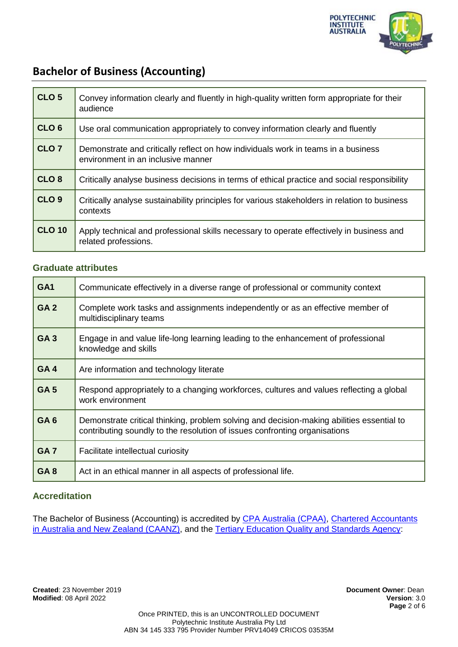

| CLO <sub>5</sub> | Convey information clearly and fluently in high-quality written form appropriate for their<br>audience                  |
|------------------|-------------------------------------------------------------------------------------------------------------------------|
| CLO <sub>6</sub> | Use oral communication appropriately to convey information clearly and fluently                                         |
| CLO <sub>7</sub> | Demonstrate and critically reflect on how individuals work in teams in a business<br>environment in an inclusive manner |
| CLO <sub>8</sub> | Critically analyse business decisions in terms of ethical practice and social responsibility                            |
| CLO <sub>9</sub> | Critically analyse sustainability principles for various stakeholders in relation to business<br>contexts               |
| <b>CLO 10</b>    | Apply technical and professional skills necessary to operate effectively in business and<br>related professions.        |

## **Graduate attributes**

| GA <sub>1</sub> | Communicate effectively in a diverse range of professional or community context                                                                                         |
|-----------------|-------------------------------------------------------------------------------------------------------------------------------------------------------------------------|
| GA <sub>2</sub> | Complete work tasks and assignments independently or as an effective member of<br>multidisciplinary teams                                                               |
| GA <sub>3</sub> | Engage in and value life-long learning leading to the enhancement of professional<br>knowledge and skills                                                               |
| GA4             | Are information and technology literate                                                                                                                                 |
| <b>GA5</b>      | Respond appropriately to a changing workforces, cultures and values reflecting a global<br>work environment                                                             |
| GA <sub>6</sub> | Demonstrate critical thinking, problem solving and decision-making abilities essential to<br>contributing soundly to the resolution of issues confronting organisations |
| GA <sub>7</sub> | Facilitate intellectual curiosity                                                                                                                                       |
| GA <sub>8</sub> | Act in an ethical manner in all aspects of professional life.                                                                                                           |

# **Accreditation**

The Bachelor of Business (Accounting) is accredited by [CPA Australia \(CPAA\),](https://www.cpaaustralia.com.au/ManageApplications/AccreditedCourse.mvc/SearchResults?__RequestVerificationToken=Ya11GjXhDaMo04mDRvmWRQFO5VKRxhGu75QZkjzyOP%2FHkDJ72kPQDm50i1aFtQ2zBQ79h7ZcVQFdYKfNudPoRJrAQlLF1H8wnNpaAFm10x1Nz0WIIoEjbIb820K2ddj5Gcf2Pvv5KY55zuwrc3p4qjcvpWw%3D&CountryId=46022522-c785-e011-bad3-005056b30007&selectedCountryGuid=46022522-c785-e011-bad3-005056b30007&CommencementYear=&HigherEducationProvider=Polytechnic+Institute+of+Australia&HigherEducationProviderAccountId=a68b8221-35f3-e611-80e9-0050569a458f&eduproviderid=a68b8221-35f3-e611-80e9-0050569a458f&CampusId=&CourseType=&PartnerInstitutionAccountId=&Search=Search) Chartered Accountants [in Australia and New Zealand \(CAANZ\),](https://www.charteredaccountantsanz.com/-/media/fdbf0874b74540169a430c8d6357a482.ashx) and the [Tertiary Education Quality and Standards Agency:](https://www.teqsa.gov.au/national-register/course/polytechnic-institute-australia-pty-ltd)

**Created**: 23 November 2019 **Document Owner**: Dean **Modified: 08 April 2022**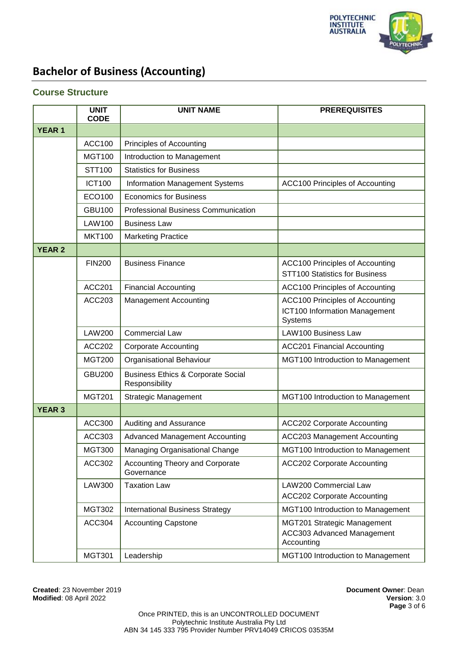

#### **Course Structure**

|               | <b>UNIT</b><br><b>CODE</b> | <b>UNIT NAME</b>                                                | <b>PREREQUISITES</b>                                                                      |
|---------------|----------------------------|-----------------------------------------------------------------|-------------------------------------------------------------------------------------------|
| <b>YEAR1</b>  |                            |                                                                 |                                                                                           |
|               | <b>ACC100</b>              | Principles of Accounting                                        |                                                                                           |
|               | <b>MGT100</b>              | Introduction to Management                                      |                                                                                           |
|               | STT100                     | <b>Statistics for Business</b>                                  |                                                                                           |
|               | <b>ICT100</b>              | Information Management Systems                                  | <b>ACC100 Principles of Accounting</b>                                                    |
|               | ECO100                     | <b>Economics for Business</b>                                   |                                                                                           |
|               | <b>GBU100</b>              | <b>Professional Business Communication</b>                      |                                                                                           |
|               | <b>LAW100</b>              | <b>Business Law</b>                                             |                                                                                           |
|               | <b>MKT100</b>              | <b>Marketing Practice</b>                                       |                                                                                           |
| <b>YEAR 2</b> |                            |                                                                 |                                                                                           |
|               | <b>FIN200</b>              | <b>Business Finance</b>                                         | <b>ACC100 Principles of Accounting</b><br>STT100 Statistics for Business                  |
|               | <b>ACC201</b>              | <b>Financial Accounting</b>                                     | <b>ACC100 Principles of Accounting</b>                                                    |
|               | ACC203                     | <b>Management Accounting</b>                                    | <b>ACC100 Principles of Accounting</b><br>ICT100 Information Management<br><b>Systems</b> |
|               | <b>LAW200</b>              | <b>Commercial Law</b>                                           | LAW100 Business Law                                                                       |
|               | <b>ACC202</b>              | <b>Corporate Accounting</b>                                     | <b>ACC201 Financial Accounting</b>                                                        |
|               | <b>MGT200</b>              | Organisational Behaviour                                        | MGT100 Introduction to Management                                                         |
|               | <b>GBU200</b>              | <b>Business Ethics &amp; Corporate Social</b><br>Responsibility |                                                                                           |
|               | <b>MGT201</b>              | <b>Strategic Management</b>                                     | MGT100 Introduction to Management                                                         |
| <b>YEAR 3</b> |                            |                                                                 |                                                                                           |
|               | <b>ACC300</b>              | Auditing and Assurance                                          | <b>ACC202 Corporate Accounting</b>                                                        |
|               | ACC303                     | <b>Advanced Management Accounting</b>                           | <b>ACC203 Management Accounting</b>                                                       |
|               | <b>MGT300</b>              | Managing Organisational Change                                  | MGT100 Introduction to Management                                                         |
|               | <b>ACC302</b>              | <b>Accounting Theory and Corporate</b><br>Governance            | <b>ACC202 Corporate Accounting</b>                                                        |
|               | <b>LAW300</b>              | <b>Taxation Law</b>                                             | LAW200 Commercial Law<br><b>ACC202 Corporate Accounting</b>                               |
|               | <b>MGT302</b>              | <b>International Business Strategy</b>                          | MGT100 Introduction to Management                                                         |
|               | <b>ACC304</b>              | <b>Accounting Capstone</b>                                      | MGT201 Strategic Management<br>ACC303 Advanced Management<br>Accounting                   |
|               | <b>MGT301</b>              | Leadership                                                      | MGT100 Introduction to Management                                                         |

**Created**: 23 November 2019 **Document Owner**: Dean **Modified: 08 April 2022**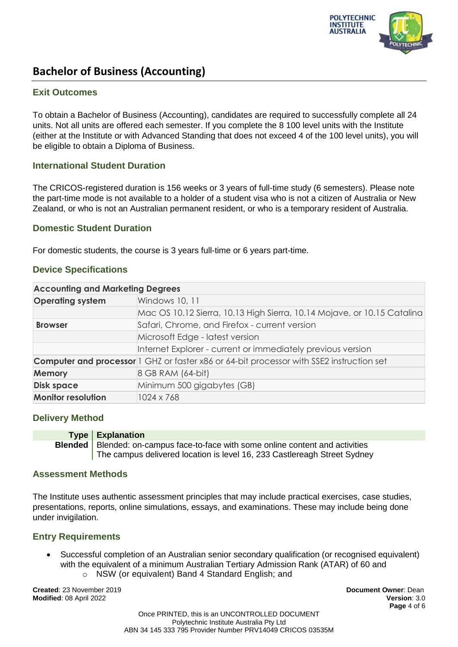

### **Exit Outcomes**

To obtain a Bachelor of Business (Accounting), candidates are required to successfully complete all 24 units. Not all units are offered each semester. If you complete the 8 100 level units with the Institute (either at the Institute or with Advanced Standing that does not exceed 4 of the 100 level units), you will be eligible to obtain a Diploma of Business.

#### **International Student Duration**

The CRICOS-registered duration is 156 weeks or 3 years of full-time study (6 semesters). Please note the part-time mode is not available to a holder of a student visa who is not a citizen of Australia or New Zealand, or who is not an Australian permanent resident, or who is a temporary resident of Australia.

### **Domestic Student Duration**

For domestic students, the course is 3 years full-time or 6 years part-time.

### **Device Specifications**

| <b>Accounting and Marketing Degrees</b> |                                                                                                 |
|-----------------------------------------|-------------------------------------------------------------------------------------------------|
| <b>Operating system</b>                 | Windows 10, 11                                                                                  |
|                                         | Mac OS 10.12 Sierra, 10.13 High Sierra, 10.14 Mojave, or 10.15 Catalina                         |
| <b>Browser</b>                          | Safari, Chrome, and Firefox - current version                                                   |
|                                         | Microsoft Edge - latest version                                                                 |
|                                         | Internet Explorer - current or immediately previous version                                     |
|                                         | <b>Computer and processor</b> 1 GHZ or faster x86 or 64-bit processor with SSE2 instruction set |
| <b>Memory</b>                           | 8 GB RAM (64-bit)                                                                               |
| <b>Disk space</b>                       | Minimum 500 gigabytes (GB)                                                                      |
| <b>Monitor resolution</b>               | 1024 x 768                                                                                      |

## **Delivery Method**

| Type   Explanation                                                                       |
|------------------------------------------------------------------------------------------|
| <b>Blended</b>   Blended: on-campus face-to-face with some online content and activities |
| The campus delivered location is level 16, 233 Castlereagh Street Sydney                 |

#### **Assessment Methods**

The Institute uses authentic assessment principles that may include practical exercises, case studies, presentations, reports, online simulations, essays, and examinations. These may include being done under invigilation.

## **Entry Requirements**

- Successful completion of an Australian senior secondary qualification (or recognised equivalent) with the equivalent of a minimum Australian Tertiary Admission Rank (ATAR) of 60 and
	- o NSW (or equivalent) Band 4 Standard English; and

**Created**: 23 November 2019 **Document Owner**: Dean **Modified**: 08 April 2022 **Version**: 3.0

**Page** 4 of 6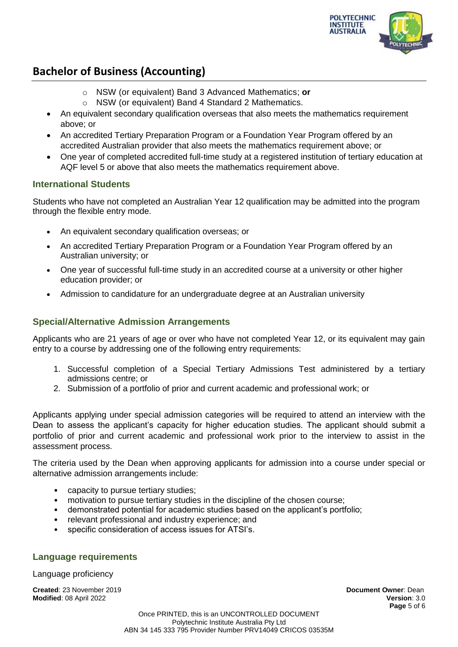

- o NSW (or equivalent) Band 3 Advanced Mathematics; **or**
- o NSW (or equivalent) Band 4 Standard 2 Mathematics.
- An equivalent secondary qualification overseas that also meets the mathematics requirement above; or
- An accredited Tertiary Preparation Program or a Foundation Year Program offered by an accredited Australian provider that also meets the mathematics requirement above; or
- One year of completed accredited full-time study at a registered institution of tertiary education at AQF level 5 or above that also meets the mathematics requirement above.

## **International Students**

Students who have not completed an Australian Year 12 qualification may be admitted into the program through the flexible entry mode.

- An equivalent secondary qualification overseas; or
- An accredited Tertiary Preparation Program or a Foundation Year Program offered by an Australian university; or
- One year of successful full-time study in an accredited course at a university or other higher education provider; or
- Admission to candidature for an undergraduate degree at an Australian university

# **Special/Alternative Admission Arrangements**

Applicants who are 21 years of age or over who have not completed Year 12, or its equivalent may gain entry to a course by addressing one of the following entry requirements:

- 1. Successful completion of a Special Tertiary Admissions Test administered by a tertiary admissions centre; or
- 2. Submission of a portfolio of prior and current academic and professional work; or

Applicants applying under special admission categories will be required to attend an interview with the Dean to assess the applicant's capacity for higher education studies. The applicant should submit a portfolio of prior and current academic and professional work prior to the interview to assist in the assessment process.

The criteria used by the Dean when approving applicants for admission into a course under special or alternative admission arrangements include:

- capacity to pursue tertiary studies;
- motivation to pursue tertiary studies in the discipline of the chosen course;
- demonstrated potential for academic studies based on the applicant's portfolio;
- relevant professional and industry experience; and
- specific consideration of access issues for ATSI's.

## **Language requirements**

Language proficiency

**Created**: 23 November 2019 **Document Owner**: Dean **Modified**: 08 April 2022 **Version**: 3.0

**Page** 5 of 6